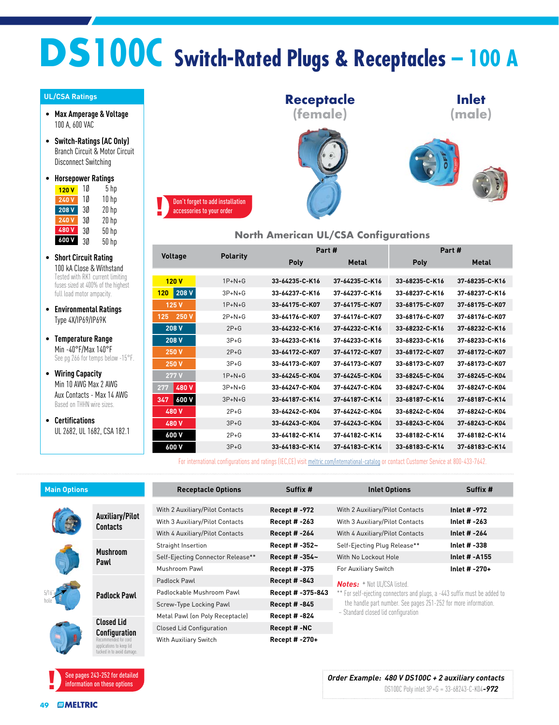# **DS100C Switch-Rated Plugs & Receptacles – 100 A**

#### **UL/CSA Ratings**

- **Max Amperage & Voltage** 100 A, 600 VAC
- **Switch-Ratings (AC Only)** Branch Circuit & Motor Circuit Disconnect Switching
- **Horsepower Ratings** <mark>120 V</mark> 1Ø 5 hp

| 240V  | 10 | 10 hp            |
|-------|----|------------------|
| 208 V | 3Ø | 20 <sub>hp</sub> |
| 240 V | 30 | $20$ hp          |
| 480V  | 30 | $50$ hp          |
| 600 V | 3Ø | 50 hp            |

- **Short Circuit Rating** 100 kA Close & Withstand Tested with RK1 current limiting fuses sized at 400% of the highest full load motor ampacity.
- **Environmental Ratings** Type 4X/IP69/IP69K
- **Temperature Range** Min -40°F/Max 140°F<br>See pg 266 for temps below -15°F.
- **Wiring Capacity** Min 10 AWG Max 2 AWG Aux Contacts - Max 14 AWG Based on THHN wire sizes.
- **Certifications** UL 2682, UL 1682, CSA 182.1



#### **North American UL/CSA Configurations**

|                | <b>Polarity</b> |                | Part #         | Part#          |                |  |
|----------------|-----------------|----------------|----------------|----------------|----------------|--|
| <b>Voltage</b> |                 | Poly           | <b>Metal</b>   | Poly           | <b>Metal</b>   |  |
|                |                 |                |                |                |                |  |
| 120V           | $1P+N+G$        | 33-64235-C-K16 | 37-64235-C-K16 | 33-68235-C-K16 | 37-68235-C-K16 |  |
| 208 V<br>120   | $3P + N + G$    | 33-64237-C-K16 | 37-64237-C-K16 | 33-68237-C-K16 | 37-68237-C-K16 |  |
| 125V           | $1P+N+G$        | 33-64175-C-K07 | 37-64175-C-K07 | 33-68175-C-K07 | 37-68175-C-K07 |  |
| 250 V<br>125   | $2P + N + G$    | 33-64176-C-K07 | 37-64176-C-K07 | 33-68176-C-K07 | 37-68176-C-K07 |  |
| 208 V          | $2P + G$        | 33-64232-C-K16 | 37-64232-C-K16 | 33-68232-C-K16 | 37-68232-C-K16 |  |
| 208 V          | $3P + G$        | 33-64233-C-K16 | 37-64233-C-K16 | 33-68233-C-K16 | 37-68233-C-K16 |  |
| 250 V          | $2P+G$          | 33-64172-C-K07 | 37-64172-C-K07 | 33-68172-C-K07 | 37-68172-C-K07 |  |
| 250 V          | $3P + G$        | 33-64173-C-K07 | 37-64173-C-K07 | 33-68173-C-K07 | 37-68173-C-K07 |  |
| 277V           | $1P+N+G$        | 33-64245-C-K04 | 37-64245-C-K04 | 33-68245-C-K04 | 37-68245-C-K04 |  |
| 480 V<br>277   | $3P+N+G$        | 33-64247-C-K04 | 37-64247-C-K04 | 33-68247-C-K04 | 37-68247-C-K04 |  |
| 600V<br>347    | $3P+N+G$        | 33-64187-C-K14 | 37-64187-C-K14 | 33-68187-C-K14 | 37-68187-C-K14 |  |
| 480 V          | $2P + G$        | 33-64242-C-K04 | 37-64242-C-K04 | 33-68242-C-K04 | 37-68242-C-K04 |  |
| 480 V          | $3P + G$        | 33-64243-C-K04 | 37-64243-C-K04 | 33-68243-C-K04 | 37-68243-C-K04 |  |
| 600 V          | $2P + G$        | 33-64182-C-K14 | 37-64182-C-K14 | 33-68182-C-K14 | 37-68182-C-K14 |  |
| 600 V          | $3P + G$        | 33-64183-C-K14 | 37-64183-C-K14 | 33-68183-C-K14 | 37-68183-C-K14 |  |

For international configurations and ratings (IEC,CE) visit meltric.com/international-catalog or contact Customer Service at 800-433-7642.

| <b>Main Options</b> |                                                                                                                             | <b>Receptacle Options</b>                              | Suffix #             | <b>Inlet Options</b>                                                      | Suffix #      |  |  |
|---------------------|-----------------------------------------------------------------------------------------------------------------------------|--------------------------------------------------------|----------------------|---------------------------------------------------------------------------|---------------|--|--|
|                     |                                                                                                                             |                                                        |                      |                                                                           |               |  |  |
|                     | <b>Auxiliary/Pilot</b><br><b>Contacts</b>                                                                                   | With 2 Auxiliary/Pilot Contacts<br><b>Recept #-972</b> |                      | With 2 Auxiliary/Pilot Contacts                                           | Inlet # -972  |  |  |
|                     |                                                                                                                             | With 3 Auxiliary/Pilot Contacts                        | <b>Recept # -263</b> | With 3 Auxiliary/Pilot Contacts                                           | Inlet # -263  |  |  |
|                     |                                                                                                                             | With 4 Auxiliary/Pilot Contacts                        | <b>Recept #-264</b>  | With 4 Auxiliary/Pilot Contacts                                           | Inlet # -264  |  |  |
|                     | <b>Mushroom</b><br>Pawl                                                                                                     | Straight Insertion                                     | Recept # -352~       | Self-Ejecting Plug Release**                                              | Inlet # -338  |  |  |
|                     |                                                                                                                             | Self-Ejecting Connector Release**                      | Recept # -354~       | With No Lockout Hole                                                      | Inlet # -A155 |  |  |
|                     |                                                                                                                             | Mushroom Pawl                                          | <b>Recept #-375</b>  | For Auxiliary Switch                                                      | Inlet # -270+ |  |  |
|                     | <b>Padlock Pawl</b>                                                                                                         | Padlock Pawl                                           | <b>Recept #-843</b>  | <b>Notes:</b> + Not III /CSA listed.                                      |               |  |  |
|                     |                                                                                                                             | Padlockable Mushroom Pawl                              | Recept # -375-843    | ** For self-ejecting connectors and plugs, a -443 suffix must be added to |               |  |  |
|                     |                                                                                                                             | Screw-Type Locking Pawl                                | <b>Recept #-845</b>  | the handle part number. See pages 251-252 for more information.           |               |  |  |
|                     | <b>Closed Lid</b><br><b>Configuration</b><br>Recommended for cord<br>applications to keep lid<br>tucked in to avoid damage. | Metal Pawl (on Poly Receptacle)                        | <b>Recept # -824</b> | $\sim$ Standard closed lid configuration                                  |               |  |  |
|                     |                                                                                                                             | <b>Closed Lid Configuration</b>                        | Recept #-NC          |                                                                           |               |  |  |
|                     |                                                                                                                             | With Auxiliary Switch                                  | Recept # -270+       |                                                                           |               |  |  |

See pages 243-252 for detailed information on these options